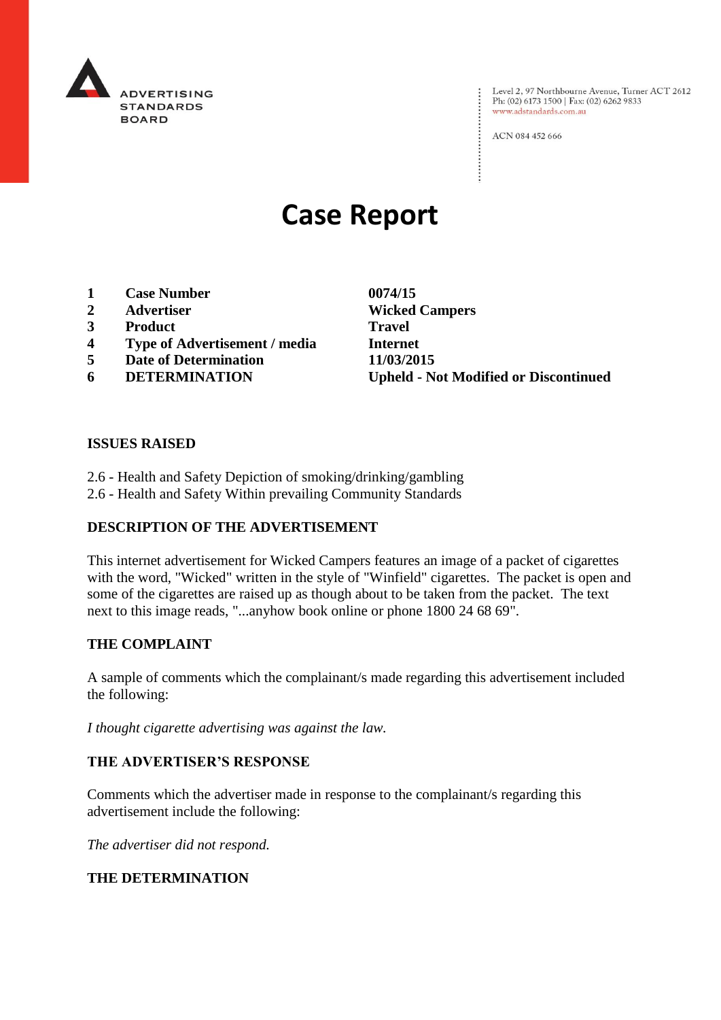

: Level 2, 97 Northbourne Avenue, Turner ACT 2612<br>: Ph: (02) 6173 1500 | Fax: (02) 6262 9833 Ph: (02) 6173 1500 | Fax: (02) 6262 9833 www.adstandards.com.au

ACN 084 452 666

# **Case Report**

- **1 Case Number 0074/15**
- 
- **3 Product Travel**
- **4 Type of Advertisement / media Internet**
- **5 Date of Determination 11/03/2015**
- 

**2 Advertiser Wicked Campers 6 DETERMINATION Upheld - Not Modified or Discontinued**

 $\vdots$ 

### **ISSUES RAISED**

- 2.6 Health and Safety Depiction of smoking/drinking/gambling
- 2.6 Health and Safety Within prevailing Community Standards

### **DESCRIPTION OF THE ADVERTISEMENT**

This internet advertisement for Wicked Campers features an image of a packet of cigarettes with the word, "Wicked" written in the style of "Winfield" cigarettes. The packet is open and some of the cigarettes are raised up as though about to be taken from the packet. The text next to this image reads, "...anyhow book online or phone 1800 24 68 69".

### **THE COMPLAINT**

A sample of comments which the complainant/s made regarding this advertisement included the following:

*I thought cigarette advertising was against the law.*

### **THE ADVERTISER'S RESPONSE**

Comments which the advertiser made in response to the complainant/s regarding this advertisement include the following:

*The advertiser did not respond.*

### **THE DETERMINATION**